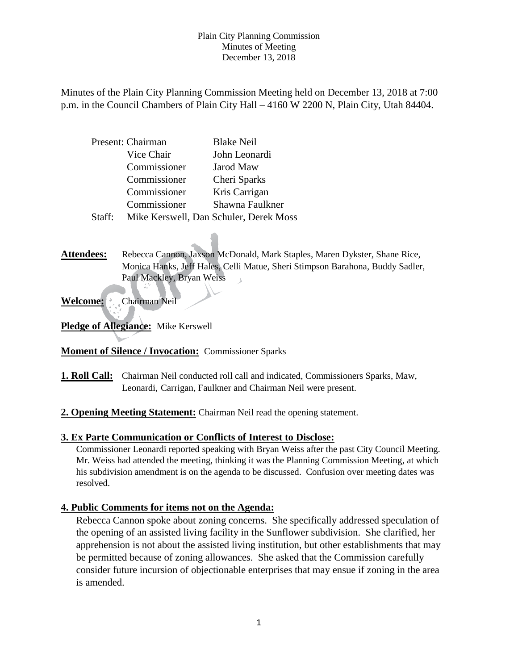Minutes of the Plain City Planning Commission Meeting held on December 13, 2018 at 7:00 p.m. in the Council Chambers of Plain City Hall – 4160 W 2200 N, Plain City, Utah 84404.

|        | Present: Chairman | <b>Blake Neil</b>                      |  |
|--------|-------------------|----------------------------------------|--|
|        | Vice Chair        | John Leonardi                          |  |
|        | Commissioner      | Jarod Maw                              |  |
|        | Commissioner      | Cheri Sparks                           |  |
|        | Commissioner      | Kris Carrigan                          |  |
|        | Commissioner      | Shawna Faulkner                        |  |
| Staff: |                   | Mike Kerswell, Dan Schuler, Derek Moss |  |

Attendees: Rebecca Cannon, Jaxson McDonald, Mark Staples, Maren Dykster, Shane Rice, Monica Hanks, Jeff Hales, Celli Matue, Sheri Stimpson Barahona, Buddy Sadler, Paul Mackley, Bryan Weiss  $\Delta$ 

Welcome: Chairman Neil

**Pledge of Allegiance:** Mike Kerswell

## **Moment of Silence / Invocation:** Commissioner Sparks

- **1. Roll Call:** Chairman Neil conducted roll call and indicated, Commissioners Sparks, Maw, Leonardi, Carrigan, Faulkner and Chairman Neil were present.
- **2. Opening Meeting Statement:** Chairman Neil read the opening statement.

## **3. Ex Parte Communication or Conflicts of Interest to Disclose:**

Commissioner Leonardi reported speaking with Bryan Weiss after the past City Council Meeting. Mr. Weiss had attended the meeting, thinking it was the Planning Commission Meeting, at which his subdivision amendment is on the agenda to be discussed. Confusion over meeting dates was resolved.

# **4. Public Comments for items not on the Agenda:**

Rebecca Cannon spoke about zoning concerns. She specifically addressed speculation of the opening of an assisted living facility in the Sunflower subdivision. She clarified, her apprehension is not about the assisted living institution, but other establishments that may be permitted because of zoning allowances. She asked that the Commission carefully consider future incursion of objectionable enterprises that may ensue if zoning in the area is amended.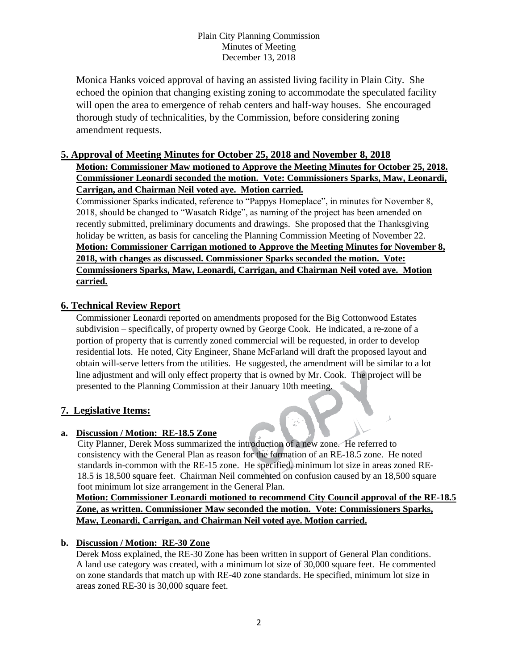Monica Hanks voiced approval of having an assisted living facility in Plain City. She echoed the opinion that changing existing zoning to accommodate the speculated facility will open the area to emergence of rehab centers and half-way houses. She encouraged thorough study of technicalities, by the Commission, before considering zoning amendment requests.

# **5. Approval of Meeting Minutes for October 25, 2018 and November 8, 2018 Motion: Commissioner Maw motioned to Approve the Meeting Minutes for October 25, 2018. Commissioner Leonardi seconded the motion. Vote: Commissioners Sparks, Maw, Leonardi, Carrigan, and Chairman Neil voted aye. Motion carried.**

Commissioner Sparks indicated, reference to "Pappys Homeplace", in minutes for November 8, 2018, should be changed to "Wasatch Ridge", as naming of the project has been amended on recently submitted, preliminary documents and drawings. She proposed that the Thanksgiving holiday be written, as basis for canceling the Planning Commission Meeting of November 22. **Motion: Commissioner Carrigan motioned to Approve the Meeting Minutes for November 8, 2018, with changes as discussed. Commissioner Sparks seconded the motion. Vote: Commissioners Sparks, Maw, Leonardi, Carrigan, and Chairman Neil voted aye. Motion carried.**

# **6. Technical Review Report**

Commissioner Leonardi reported on amendments proposed for the Big Cottonwood Estates subdivision – specifically, of property owned by George Cook. He indicated, a re-zone of a portion of property that is currently zoned commercial will be requested, in order to develop residential lots. He noted, City Engineer, Shane McFarland will draft the proposed layout and obtain will-serve letters from the utilities. He suggested, the amendment will be similar to a lot line adjustment and will only effect property that is owned by Mr. Cook. The project will be presented to the Planning Commission at their January 10th meeting.

# **7. Legislative Items:**

# **a. Discussion / Motion: RE-18.5 Zone**

City Planner, Derek Moss summarized the introduction of a new zone. He referred to consistency with the General Plan as reason for the formation of an RE-18.5 zone. He noted standards in-common with the RE-15 zone. He specified, minimum lot size in areas zoned RE-18.5 is 18,500 square feet. Chairman Neil commented on confusion caused by an 18,500 square foot minimum lot size arrangement in the General Plan.

**Motion: Commissioner Leonardi motioned to recommend City Council approval of the RE-18.5 Zone, as written. Commissioner Maw seconded the motion. Vote: Commissioners Sparks, Maw, Leonardi, Carrigan, and Chairman Neil voted aye. Motion carried.**

## **b. Discussion / Motion: RE-30 Zone**

Derek Moss explained, the RE-30 Zone has been written in support of General Plan conditions. A land use category was created, with a minimum lot size of 30,000 square feet. He commented on zone standards that match up with RE-40 zone standards. He specified, minimum lot size in areas zoned RE-30 is 30,000 square feet.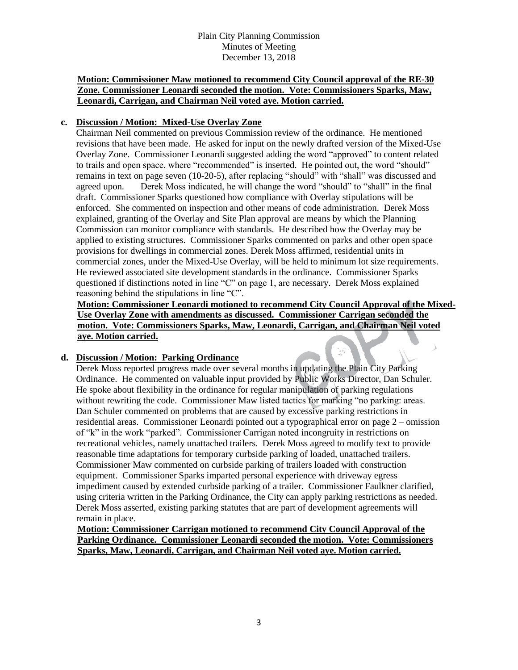### **Motion: Commissioner Maw motioned to recommend City Council approval of the RE-30 Zone. Commissioner Leonardi seconded the motion. Vote: Commissioners Sparks, Maw, Leonardi, Carrigan, and Chairman Neil voted aye. Motion carried.**

### **c. Discussion / Motion: Mixed-Use Overlay Zone**

Chairman Neil commented on previous Commission review of the ordinance. He mentioned revisions that have been made. He asked for input on the newly drafted version of the Mixed-Use Overlay Zone. Commissioner Leonardi suggested adding the word "approved" to content related to trails and open space, where "recommended" is inserted. He pointed out, the word "should" remains in text on page seven (10-20-5), after replacing "should" with "shall" was discussed and agreed upon. Derek Moss indicated, he will change the word "should" to "shall" in the final draft. Commissioner Sparks questioned how compliance with Overlay stipulations will be enforced. She commented on inspection and other means of code administration. Derek Moss explained, granting of the Overlay and Site Plan approval are means by which the Planning Commission can monitor compliance with standards. He described how the Overlay may be applied to existing structures. Commissioner Sparks commented on parks and other open space provisions for dwellings in commercial zones. Derek Moss affirmed, residential units in commercial zones, under the Mixed-Use Overlay, will be held to minimum lot size requirements. He reviewed associated site development standards in the ordinance. Commissioner Sparks questioned if distinctions noted in line "C" on page 1, are necessary. Derek Moss explained reasoning behind the stipulations in line "C".

**Motion: Commissioner Leonardi motioned to recommend City Council Approval of the Mixed-Use Overlay Zone with amendments as discussed. Commissioner Carrigan seconded the motion. Vote: Commissioners Sparks, Maw, Leonardi, Carrigan, and Chairman Neil voted aye. Motion carried.**

 $\lambda$ 

#### **d. Discussion / Motion: Parking Ordinance**

Derek Moss reported progress made over several months in updating the Plain City Parking Ordinance. He commented on valuable input provided by Public Works Director, Dan Schuler. He spoke about flexibility in the ordinance for regular manipulation of parking regulations without rewriting the code. Commissioner Maw listed tactics for marking "no parking: areas. Dan Schuler commented on problems that are caused by excessive parking restrictions in residential areas. Commissioner Leonardi pointed out a typographical error on page 2 – omission of "k" in the work "parked". Commissioner Carrigan noted incongruity in restrictions on recreational vehicles, namely unattached trailers. Derek Moss agreed to modify text to provide reasonable time adaptations for temporary curbside parking of loaded, unattached trailers. Commissioner Maw commented on curbside parking of trailers loaded with construction equipment. Commissioner Sparks imparted personal experience with driveway egress impediment caused by extended curbside parking of a trailer. Commissioner Faulkner clarified, using criteria written in the Parking Ordinance, the City can apply parking restrictions as needed. Derek Moss asserted, existing parking statutes that are part of development agreements will remain in place.

**Motion: Commissioner Carrigan motioned to recommend City Council Approval of the Parking Ordinance. Commissioner Leonardi seconded the motion. Vote: Commissioners Sparks, Maw, Leonardi, Carrigan, and Chairman Neil voted aye. Motion carried.**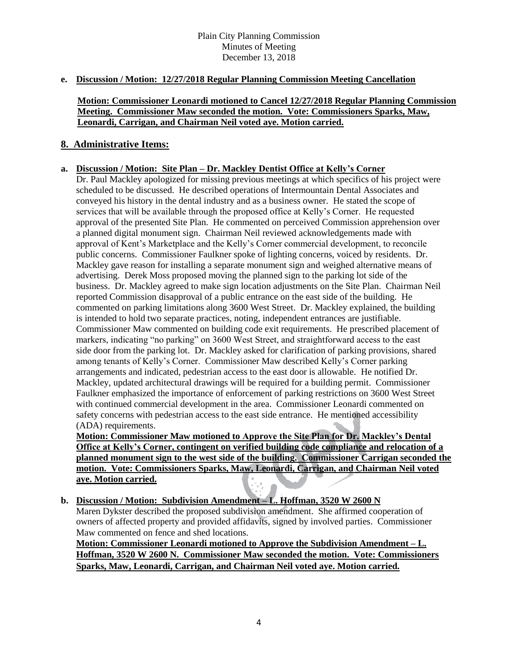## **e. Discussion / Motion: 12/27/2018 Regular Planning Commission Meeting Cancellation**

#### **Motion: Commissioner Leonardi motioned to Cancel 12/27/2018 Regular Planning Commission Meeting. Commissioner Maw seconded the motion. Vote: Commissioners Sparks, Maw, Leonardi, Carrigan, and Chairman Neil voted aye. Motion carried.**

## **8. Administrative Items:**

#### **a. Discussion / Motion: Site Plan – Dr. Mackley Dentist Office at Kelly's Corner**

Dr. Paul Mackley apologized for missing previous meetings at which specifics of his project were scheduled to be discussed. He described operations of Intermountain Dental Associates and conveyed his history in the dental industry and as a business owner. He stated the scope of services that will be available through the proposed office at Kelly's Corner. He requested approval of the presented Site Plan. He commented on perceived Commission apprehension over a planned digital monument sign. Chairman Neil reviewed acknowledgements made with approval of Kent's Marketplace and the Kelly's Corner commercial development, to reconcile public concerns. Commissioner Faulkner spoke of lighting concerns, voiced by residents. Dr. Mackley gave reason for installing a separate monument sign and weighed alternative means of advertising. Derek Moss proposed moving the planned sign to the parking lot side of the business. Dr. Mackley agreed to make sign location adjustments on the Site Plan. Chairman Neil reported Commission disapproval of a public entrance on the east side of the building. He commented on parking limitations along 3600 West Street. Dr. Mackley explained, the building is intended to hold two separate practices, noting, independent entrances are justifiable. Commissioner Maw commented on building code exit requirements. He prescribed placement of markers, indicating "no parking" on 3600 West Street, and straightforward access to the east side door from the parking lot. Dr. Mackley asked for clarification of parking provisions, shared among tenants of Kelly's Corner. Commissioner Maw described Kelly's Corner parking arrangements and indicated, pedestrian access to the east door is allowable. He notified Dr. Mackley, updated architectural drawings will be required for a building permit. Commissioner Faulkner emphasized the importance of enforcement of parking restrictions on 3600 West Street with continued commercial development in the area. Commissioner Leonardi commented on safety concerns with pedestrian access to the east side entrance. He mentioned accessibility (ADA) requirements.

**Motion: Commissioner Maw motioned to Approve the Site Plan for Dr. Mackley's Dental Office at Kelly's Corner, contingent on verified building code compliance and relocation of a planned monument sign to the west side of the building. Commissioner Carrigan seconded the motion. Vote: Commissioners Sparks, Maw, Leonardi, Carrigan, and Chairman Neil voted aye. Motion carried.**

## **b. Discussion / Motion: Subdivision Amendment – L. Hoffman, 3520 W 2600 N**

Maren Dykster described the proposed subdivision amendment. She affirmed cooperation of owners of affected property and provided affidavits, signed by involved parties. Commissioner Maw commented on fence and shed locations.

**Motion: Commissioner Leonardi motioned to Approve the Subdivision Amendment – L. Hoffman, 3520 W 2600 N. Commissioner Maw seconded the motion. Vote: Commissioners Sparks, Maw, Leonardi, Carrigan, and Chairman Neil voted aye. Motion carried.**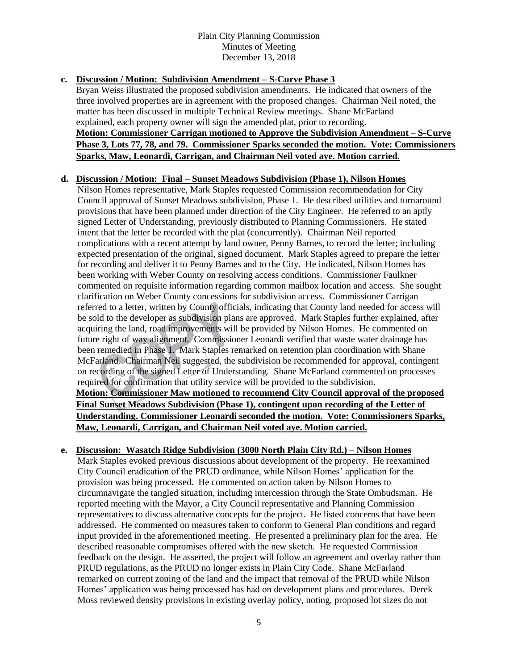### **c. Discussion / Motion: Subdivision Amendment – S-Curve Phase 3**

Bryan Weiss illustrated the proposed subdivision amendments. He indicated that owners of the three involved properties are in agreement with the proposed changes. Chairman Neil noted, the matter has been discussed in multiple Technical Review meetings. Shane McFarland explained, each property owner will sign the amended plat, prior to recording. **Motion: Commissioner Carrigan motioned to Approve the Subdivision Amendment – S-Curve Phase 3, Lots 77, 78, and 79. Commissioner Sparks seconded the motion. Vote: Commissioners Sparks, Maw, Leonardi, Carrigan, and Chairman Neil voted aye. Motion carried.**

### **d. Discussion / Motion: Final – Sunset Meadows Subdivision (Phase 1), Nilson Homes**

Nilson Homes representative, Mark Staples requested Commission recommendation for City Council approval of Sunset Meadows subdivision, Phase 1. He described utilities and turnaround provisions that have been planned under direction of the City Engineer. He referred to an aptly signed Letter of Understanding, previously distributed to Planning Commissioners. He stated intent that the letter be recorded with the plat (concurrently). Chairman Neil reported complications with a recent attempt by land owner, Penny Barnes, to record the letter; including expected presentation of the original, signed document. Mark Staples agreed to prepare the letter for recording and deliver it to Penny Barnes and to the City. He indicated, Nilson Homes has been working with Weber County on resolving access conditions. Commissioner Faulkner commented on requisite information regarding common mailbox location and access. She sought clarification on Weber County concessions for subdivision access. Commissioner Carrigan referred to a letter, written by County officials, indicating that County land needed for access will be sold to the developer as subdivision plans are approved. Mark Staples further explained, after acquiring the land, road improvements will be provided by Nilson Homes. He commented on future right of way alignment. Commissioner Leonardi verified that waste water drainage has been remedied in Phase 1. Mark Staples remarked on retention plan coordination with Shane McFarland. Chairman Neil suggested, the subdivision be recommended for approval, contingent on recording of the signed Letter of Understanding. Shane McFarland commented on processes required for confirmation that utility service will be provided to the subdivision. **Motion: Commissioner Maw motioned to recommend City Council approval of the proposed Final Sunset Meadows Subdivision (Phase 1), contingent upon recording of the Letter of Understanding. Commissioner Leonardi seconded the motion. Vote: Commissioners Sparks, Maw, Leonardi, Carrigan, and Chairman Neil voted aye. Motion carried.**

#### **e. Discussion: Wasatch Ridge Subdivision (3000 North Plain City Rd.) – Nilson Homes**

Mark Staples evoked previous discussions about development of the property. He reexamined City Council eradication of the PRUD ordinance, while Nilson Homes' application for the provision was being processed. He commented on action taken by Nilson Homes to circumnavigate the tangled situation, including intercession through the State Ombudsman. He reported meeting with the Mayor, a City Council representative and Planning Commission representatives to discuss alternative concepts for the project. He listed concerns that have been addressed. He commented on measures taken to conform to General Plan conditions and regard input provided in the aforementioned meeting. He presented a preliminary plan for the area. He described reasonable compromises offered with the new sketch. He requested Commission feedback on the design. He asserted, the project will follow an agreement and overlay rather than PRUD regulations, as the PRUD no longer exists in Plain City Code. Shane McFarland remarked on current zoning of the land and the impact that removal of the PRUD while Nilson Homes' application was being processed has had on development plans and procedures. Derek Moss reviewed density provisions in existing overlay policy, noting, proposed lot sizes do not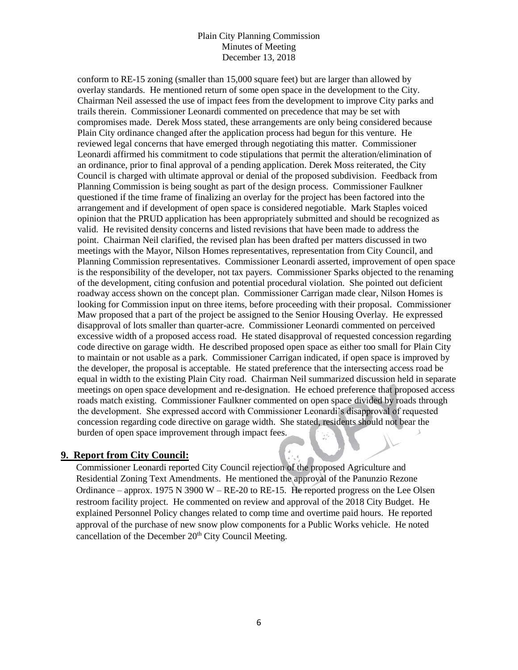conform to RE-15 zoning (smaller than 15,000 square feet) but are larger than allowed by overlay standards. He mentioned return of some open space in the development to the City. Chairman Neil assessed the use of impact fees from the development to improve City parks and trails therein. Commissioner Leonardi commented on precedence that may be set with compromises made. Derek Moss stated, these arrangements are only being considered because Plain City ordinance changed after the application process had begun for this venture. He reviewed legal concerns that have emerged through negotiating this matter. Commissioner Leonardi affirmed his commitment to code stipulations that permit the alteration/elimination of an ordinance, prior to final approval of a pending application. Derek Moss reiterated, the City Council is charged with ultimate approval or denial of the proposed subdivision. Feedback from Planning Commission is being sought as part of the design process. Commissioner Faulkner questioned if the time frame of finalizing an overlay for the project has been factored into the arrangement and if development of open space is considered negotiable. Mark Staples voiced opinion that the PRUD application has been appropriately submitted and should be recognized as valid. He revisited density concerns and listed revisions that have been made to address the point. Chairman Neil clarified, the revised plan has been drafted per matters discussed in two meetings with the Mayor, Nilson Homes representatives, representation from City Council, and Planning Commission representatives. Commissioner Leonardi asserted, improvement of open space is the responsibility of the developer, not tax payers. Commissioner Sparks objected to the renaming of the development, citing confusion and potential procedural violation. She pointed out deficient roadway access shown on the concept plan. Commissioner Carrigan made clear, Nilson Homes is looking for Commission input on three items, before proceeding with their proposal. Commissioner Maw proposed that a part of the project be assigned to the Senior Housing Overlay. He expressed disapproval of lots smaller than quarter-acre. Commissioner Leonardi commented on perceived excessive width of a proposed access road. He stated disapproval of requested concession regarding code directive on garage width. He described proposed open space as either too small for Plain City to maintain or not usable as a park. Commissioner Carrigan indicated, if open space is improved by the developer, the proposal is acceptable. He stated preference that the intersecting access road be equal in width to the existing Plain City road. Chairman Neil summarized discussion held in separate meetings on open space development and re-designation. He echoed preference that proposed access roads match existing. Commissioner Faulkner commented on open space divided by roads through the development. She expressed accord with Commissioner Leonardi's disapproval of requested concession regarding code directive on garage width. She stated, residents should not bear the burden of open space improvement through impact fees.

## **9. Report from City Council:**

Commissioner Leonardi reported City Council rejection of the proposed Agriculture and Residential Zoning Text Amendments. He mentioned the approval of the Panunzio Rezone Ordinance – approx. 1975 N 3900 W – RE-20 to RE-15. He reported progress on the Lee Olsen restroom facility project. He commented on review and approval of the 2018 City Budget. He explained Personnel Policy changes related to comp time and overtime paid hours. He reported approval of the purchase of new snow plow components for a Public Works vehicle. He noted cancellation of the December 20<sup>th</sup> City Council Meeting.